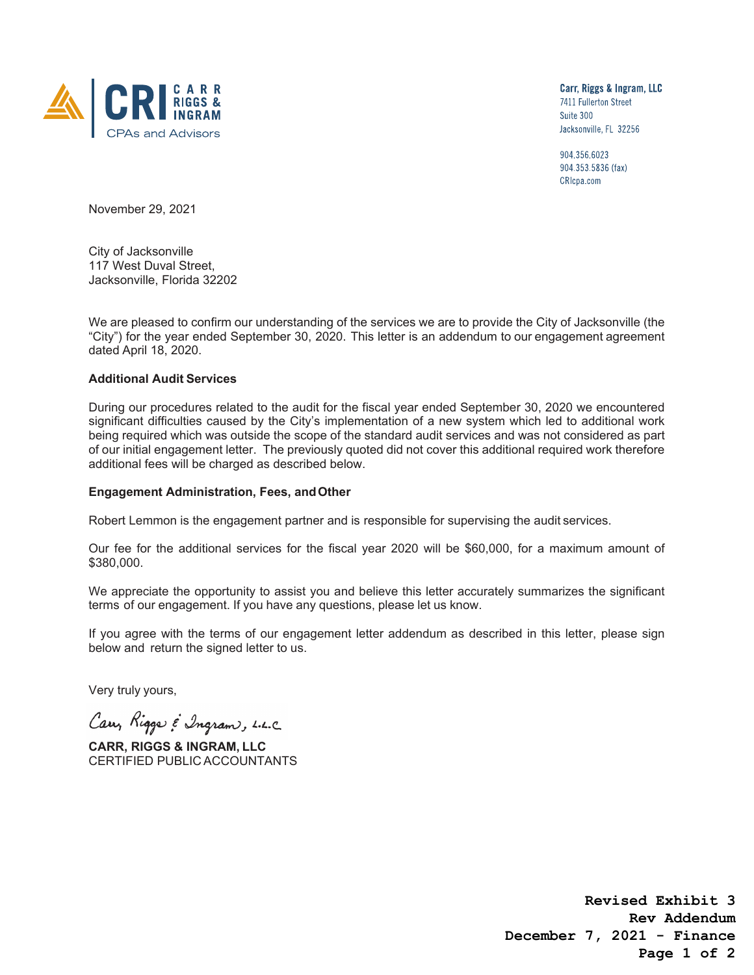

Carr, Riggs & Ingram, LLC 7411 Fullerton Street Suite 300 Jacksonville, FL 32256

904.356.6023 904.353.5836 (fax) CRIcpa.com

November 29, 2021

City of Jacksonville 117 West Duval Street, Jacksonville, Florida 32202

We are pleased to confirm our understanding of the services we are to provide the City of Jacksonville (the "City") for the year ended September 30, 2020. This letter is an addendum to our engagement agreement dated April 18, 2020.

## **Additional Audit Services**

During our procedures related to the audit for the fiscal year ended September 30, 2020 we encountered significant difficulties caused by the City's implementation of a new system which led to additional work being required which was outside the scope of the standard audit services and was not considered as part of our initial engagement letter. The previously quoted did not cover this additional required work therefore additional fees will be charged as described below.

## **Engagement Administration, Fees, and Other**

Robert Lemmon is the engagement partner and is responsible for supervising the audit services.

Our fee for the additional services for the fiscal year 2020 will be \$60,000, for a maximum amount of \$380,000.

We appreciate the opportunity to assist you and believe this letter accurately summarizes the significant terms of our engagement. If you have any questions, please let us know.

If you agree with the terms of our engagement letter addendum as described in this letter, please sign below and return the signed letter to us.

Very truly yours,

Carry Rigger & Ingram, L.L.C.

**CARR, RIGGS & INGRAM, LLC** CERTIFIED PUBLIC ACCOUNTANTS

**Revised Exhibit 3 Rev Addendum December 7, 2021 - Finance Page 1 of 2**